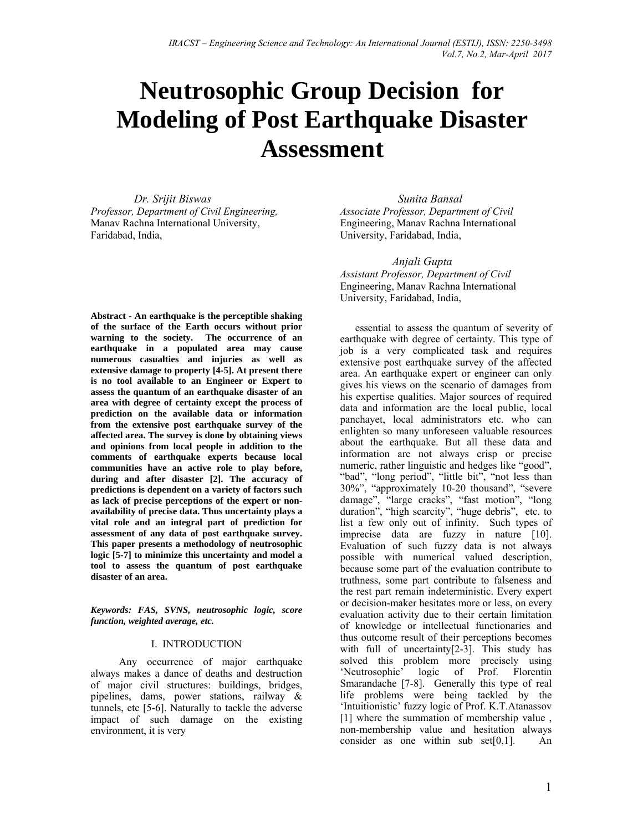# **Neutrosophic Group Decision for Modeling of Post Earthquake Disaster Assessment**

 *Dr. Srijit Biswas Professor, Department of Civil Engineering,*  Manav Rachna International University, Faridabad, India,

**Abstract - An earthquake is the perceptible shaking of the surface of the Earth occurs without prior warning to the society. The occurrence of an earthquake in a populated area may cause numerous casualties and injuries as well as extensive damage to property [4-5]. At present there is no tool available to an Engineer or Expert to assess the quantum of an earthquake disaster of an area with degree of certainty except the process of prediction on the available data or information from the extensive post earthquake survey of the affected area. The survey is done by obtaining views and opinions from local people in addition to the comments of earthquake experts because local communities have an active role to play before, during and after disaster [2]. The accuracy of predictions is dependent on a variety of factors such as lack of precise perceptions of the expert or nonavailability of precise data. Thus uncertainty plays a vital role and an integral part of prediction for assessment of any data of post earthquake survey. This paper presents a methodology of neutrosophic logic [5-7] to minimize this uncertainty and model a tool to assess the quantum of post earthquake disaster of an area.** 

*Keywords: FAS, SVNS, neutrosophic logic, score function, weighted average, etc.* 

#### I. INTRODUCTION

 Any occurrence of major earthquake always makes a dance of deaths and destruction of major civil structures: buildings, bridges, pipelines, dams, power stations, railway & tunnels, etc [5-6]. Naturally to tackle the adverse impact of such damage on the existing environment, it is very

 *Sunita Bansal Associate Professor, Department of Civil* Engineering, Manav Rachna International University, Faridabad, India,

 *Anjali Gupta Assistant Professor, Department of Civil* Engineering, Manav Rachna International University, Faridabad, India,

essential to assess the quantum of severity of earthquake with degree of certainty. This type of job is a very complicated task and requires extensive post earthquake survey of the affected area. An earthquake expert or engineer can only gives his views on the scenario of damages from his expertise qualities. Major sources of required data and information are the local public, local panchayet, local administrators etc. who can enlighten so many unforeseen valuable resources about the earthquake. But all these data and information are not always crisp or precise numeric, rather linguistic and hedges like "good", "bad", "long period", "little bit", "not less than 30%", "approximately 10-20 thousand", "severe damage", "large cracks", "fast motion", "long duration", "high scarcity", "huge debris", etc. to list a few only out of infinity. Such types of imprecise data are fuzzy in nature [10]. Evaluation of such fuzzy data is not always possible with numerical valued description, because some part of the evaluation contribute to truthness, some part contribute to falseness and the rest part remain indeterministic. Every expert or decision-maker hesitates more or less, on every evaluation activity due to their certain limitation of knowledge or intellectual functionaries and thus outcome result of their perceptions becomes with full of uncertainty[2-3]. This study has solved this problem more precisely using 'Neutrosophic' logic of Prof. Florentin Smarandache [7-8]. Generally this type of real life problems were being tackled by the 'Intuitionistic' fuzzy logic of Prof. K.T.Atanassov [1] where the summation of membership value, non-membership value and hesitation always consider as one within sub set $[0,1]$ . An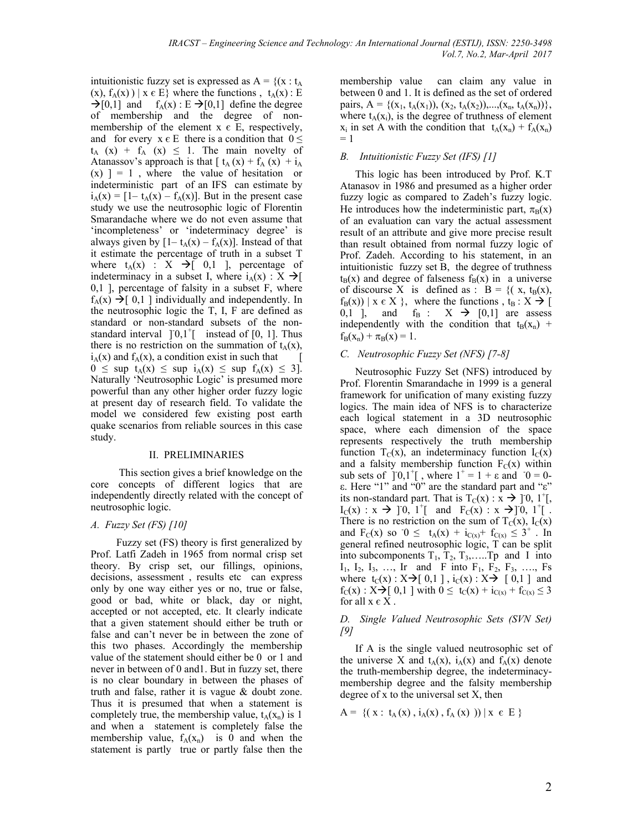intuitionistic fuzzy set is expressed as  $A = \{(x : t_A$  $(x)$ ,  $f_A(x)$   $\mid x \in E$ } where the functions,  $t_A(x)$ : E  $\rightarrow$ [0,1] and  $f_A(x)$ : E  $\rightarrow$ [0,1] define the degree of membership and the degree of nonmembership of the element  $x \in E$ , respectively, and for every  $x \in E$  there is a condition that  $0 \leq$  $t_A$  (x) +  $f_A$  (x)  $\leq$  1. The main novelty of Atanassov's approach is that  $[ t_A(x) + f_A(x) + i_A(x)]$  $(x)$  ] = 1, where the value of hesitation or indeterministic part of an IFS can estimate by  $i_A(x) = [1-t_A(x) - f_A(x)]$ . But in the present case study we use the neutrosophic logic of Florentin Smarandache where we do not even assume that 'incompleteness' or 'indeterminacy degree' is always given by  $[1-t_A(x) - f_A(x)]$ . Instead of that it estimate the percentage of truth in a subset T where  $t_A(x)$  :  $X \rightarrow [0,1]$ , percentage of indeterminacy in a subset I, where  $i_A(x) : X \rightarrow I$ 0,1 ], percentage of falsity in a subset F, where  $f_A(x) \rightarrow [0,1]$  individually and independently. In the neutrosophic logic the T, I, F are defined as standard or non-standard subsets of the nonstandard interval  $]0,1^+$  instead of  $[0, 1]$ . Thus there is no restriction on the summation of  $t_A(x)$ ,  $i_A(x)$  and  $f_A(x)$ , a condition exist in such that  $0 \leq$  sup  $t_A(x) \leq$  sup  $i_A(x) \leq$  sup  $f_A(x) \leq 3$ . Naturally 'Neutrosophic Logic' is presumed more powerful than any other higher order fuzzy logic at present day of research field. To validate the model we considered few existing post earth quake scenarios from reliable sources in this case study.

#### II. PRELIMINARIES

 This section gives a brief knowledge on the core concepts of different logics that are independently directly related with the concept of neutrosophic logic.

#### *A. Fuzzy Set (FS) [10]*

 Fuzzy set (FS) theory is first generalized by Prof. Latfi Zadeh in 1965 from normal crisp set theory. By crisp set, our fillings, opinions, decisions, assessment, results etc can express only by one way either yes or no, true or false, good or bad, white or black, day or night, accepted or not accepted, etc. It clearly indicate that a given statement should either be truth or false and can't never be in between the zone of this two phases. Accordingly the membership value of the statement should either be 0 or 1 and never in between of 0 and1. But in fuzzy set, there is no clear boundary in between the phases of truth and false, rather it is vague & doubt zone. Thus it is presumed that when a statement is completely true, the membership value,  $t_A(x_n)$  is 1 and when a statement is completely false the membership value,  $f_A(x_n)$  is 0 and when the statement is partly true or partly false then the membership value can claim any value in between 0 and 1. It is defined as the set of ordered pairs,  $A = \{(x_1, t_A(x_1)), (x_2, t_A(x_2)), \ldots, (x_n, t_A(x_n))\},\$ where  $t_A(x_i)$ , is the degree of truthness of element  $x_i$  in set A with the condition that  $t_A(x_n) + f_A(x_n)$  $= 1$ 

#### *B. Intuitionistic Fuzzy Set (IFS) [1]*

This logic has been introduced by Prof. K.T Atanasov in 1986 and presumed as a higher order fuzzy logic as compared to Zadeh's fuzzy logic. He introduces how the indeterministic part,  $\pi_B(x)$ of an evaluation can vary the actual assessment result of an attribute and give more precise result than result obtained from normal fuzzy logic of Prof. Zadeh. According to his statement, in an intuitionistic fuzzy set B, the degree of truthness  $t_B(x)$  and degree of falseness  $f_B(x)$  in a universe of discourse X is defined as :  $B = \{ (x, t_B(x)),$  $f_B(x)$  |  $x \in X$  }, where the functions,  $t_B : X \rightarrow \lceil$ 0,1 ], and  $f_B$  :  $X \rightarrow [0,1]$  are assess independently with the condition that  $t_B(x_n)$  +  $f_B(x_n) + \pi_B(x) = 1$ .

#### *C. Neutrosophic Fuzzy Set (NFS) [7-8]*

Neutrosophic Fuzzy Set (NFS) introduced by Prof. Florentin Smarandache in 1999 is a general framework for unification of many existing fuzzy logics. The main idea of NFS is to characterize each logical statement in a 3D neutrosophic space, where each dimension of the space represents respectively the truth membership function  $T_C(x)$ , an indeterminacy function  $I_C(x)$ and a falsity membership function  $F_C(x)$  within sub sets of  $]0,1^+[$ , where  $1^+ = 1 + \varepsilon$  and  $0 = 0$ ε. Here "1" and "0" are the standard part and "ε" its non-standard part. That is  $T_C(x)$  :  $\vec{x} \rightarrow$  ] 0, 1<sup>+</sup>[,  $I_C(x) : x \to [0, 1^+]$  and  $F_C(x) : x \to [0, 1^+]$ . There is no restriction on the sum of  $T_C(x)$ ,  $I_C(x)$ and  $F_C(x)$  so  $0 \le t_A(x) + i_{C(x)} + f_{C(x)} \le 3^+$ . In general refined neutrosophic logic, T can be split into subcomponents  $T_1, T_2, T_3, \ldots$  Tp and I into  $I_1$ ,  $I_2$ ,  $I_3$ , ..., Ir and F into  $F_1$ ,  $F_2$ ,  $F_3$ , ..., Fs where  $t_C(x)$ :  $X \rightarrow [0,1]$ ,  $i_C(x)$ :  $X \rightarrow [0,1]$  and  $f_C(x)$ :  $X \rightarrow [0,1]$  with  $0 \le t_C(x) + i_{C(x)} + f_{C(x)} \le 3$ for all  $x \in X$ .

#### *D. Single Valued Neutrosophic Sets (SVN Set) [9]*

If A is the single valued neutrosophic set of the universe X and  $t_A(x)$ ,  $i_A(x)$  and  $f_A(x)$  denote the truth-membership degree, the indeterminacymembership degree and the falsity membership degree of x to the universal set X, then

$$
A = \{ (x : t_A(x), i_A(x), f_A(x)) ) | x \in E \}
$$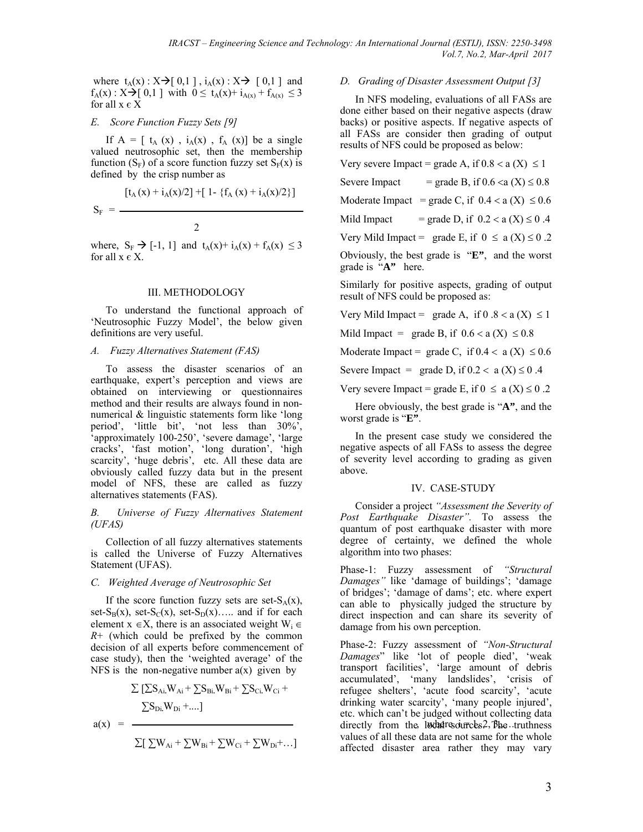where  $t_A(x)$ :  $X \rightarrow [0,1]$ ,  $i_A(x)$ :  $X \rightarrow [0,1]$  and  $f_A(x)$ :  $X \rightarrow [0,1]$  with  $0 \le t_A(x) + i_{A(x)} + f_{A(x)} \le 3$ for all  $x \in X$ 

#### *E. Score Function Fuzzy Sets [9]*

If  $A = [t_A(x), i_A(x), f_A(x)]$  be a single valued neutrosophic set, then the membership function  $(S_F)$  of a score function fuzzy set  $S_F(x)$  is defined by the crisp number as

$$
S_{F}\,=\,\frac{\left[t_{A}\left(x\right)+i_{A}\left(x\right)/2\right]+\left[-1\right]\cdot\left\{f_{A}\left(x\right)+i_{A}\left(x\right)/2\right\}\right]}{2}
$$

where,  $S_F \rightarrow [-1, 1]$  and  $t_A(x) + i_A(x) + f_A(x) \leq 3$ for all  $x \in X$ .

#### III. METHODOLOGY

To understand the functional approach of 'Neutrosophic Fuzzy Model', the below given definitions are very useful.

#### *A. Fuzzy Alternatives Statement (FAS)*

To assess the disaster scenarios of an earthquake, expert's perception and views are obtained on interviewing or questionnaires method and their results are always found in nonnumerical & linguistic statements form like 'long period', 'little bit', 'not less than 30%', 'approximately 100-250', 'severe damage', 'large cracks', 'fast motion', 'long duration', 'high scarcity', 'huge debris', etc. All these data are obviously called fuzzy data but in the present model of NFS, these are called as fuzzy alternatives statements (FAS).

*B. Universe of Fuzzy Alternatives Statement (UFAS)* 

Collection of all fuzzy alternatives statements is called the Universe of Fuzzy Alternatives Statement (UFAS).

## *C. Weighted Average of Neutrosophic Set*

If the score function fuzzy sets are set- $S_A(x)$ , set- $S_B(x)$ , set- $S_C(x)$ , set- $S_D(x)$ ….. and if for each element  $x \in X$ , there is an associated weight  $W_i \in$ *R*+ (which could be prefixed by the common decision of all experts before commencement of case study), then the 'weighted average' of the NFS is the non-negative number  $a(x)$  given by

$$
\Sigma \left[ \Sigma S_{Ai} W_{Ai} + \Sigma S_{Bi} W_{Bi} + \Sigma S_{Ci} W_{Ci} + \right]
$$
  

$$
\Sigma S_{Di} W_{Di} + ...]
$$
  

$$
\Sigma \left[ \Sigma W_{Ai} + \Sigma W_{Bi} + \Sigma W_{Ci} + \Sigma W_{Di} + ... \right]
$$

*D. Grading of Disaster Assessment Output [3]* 

In NFS modeling, evaluations of all FASs are done either based on their negative aspects (draw backs) or positive aspects. If negative aspects of all FASs are consider then grading of output results of NFS could be proposed as below:

Very severe Impact = grade A, if  $0.8 < a(X) \le 1$ 

Severe Impact = grade B, if  $0.6 < a(X) \le 0.8$ 

Moderate Impact = grade C, if  $0.4 < a(X) \le 0.6$ 

Mild Impact = grade D, if  $0.2 < a(X) \le 0.4$ 

Very Mild Impact = grade E, if  $0 \le a(X) \le 0.2$ 

Obviously, the best grade is "**E"**, and the worst grade is "**A"** here.

Similarly for positive aspects, grading of output result of NFS could be proposed as:

Very Mild Impact = grade A, if  $0.8 < a(X) \le 1$ 

Mild Impact = grade B, if  $0.6 < a(X) \le 0.8$ 

Moderate Impact = grade C, if  $0.4 < a(X) \le 0.6$ 

Severe Impact = grade D, if  $0.2 < a$  (X)  $\le 0.4$ 

Very severe Impact = grade E, if  $0 \le a(X) \le 0.2$ 

Here obviously, the best grade is "**A"**, and the worst grade is "**E"**.

In the present case study we considered the negative aspects of all FASs to assess the degree of severity level according to grading as given above.

## IV. CASE-STUDY

Consider a project *"Assessment the Severity of Post Earthquake Disaster".* To assess the quantum of post earthquake disaster with more degree of certainty, we defined the whole algorithm into two phases:

Phase-1: Fuzzy assessment of *"Structural Damages"* like 'damage of buildings'; 'damage of bridges'; 'damage of dams'; etc. where expert can able to physically judged the structure by direct inspection and can share its severity of damage from his own perception.

 $a(x) =$  directly from the local sources. The truthness Phase-2: Fuzzy assessment of *"Non-Structural Damages*" like 'lot of people died', 'weak transport facilities', 'large amount of debris accumulated', 'many landslides', 'crisis of refugee shelters', 'acute food scarcity', 'acute drinking water scarcity', 'many people injured', etc. which can't be judged without collecting data values of all these data are not same for the whole affected disaster area rather they may vary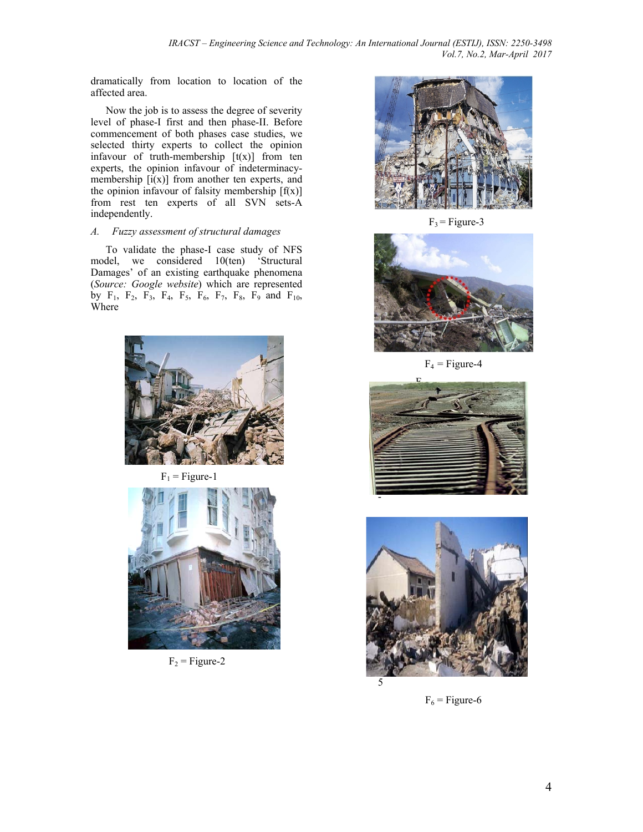dramatically from location to location of the affected area.

Now the job is to assess the degree of severity level of phase-I first and then phase-II. Before commencement of both phases case studies, we selected thirty experts to collect the opinion infavour of truth-membership  $[t(x)]$  from ten experts, the opinion infavour of indeterminacymembership  $[i(x)]$  from another ten experts, and the opinion infavour of falsity membership  $[f(x)]$ from rest ten experts of all SVN sets-A independently.

## *A. Fuzzy assessment of structural damages*

To validate the phase-I case study of NFS model, we considered 10(ten) 'Structural Damages' of an existing earthquake phenomena (*Source: Google website*) which are represented by  $F_1$ ,  $F_2$ ,  $F_3$ ,  $F_4$ ,  $F_5$ ,  $F_6$ ,  $F_7$ ,  $F_8$ ,  $F_9$  and  $F_{10}$ , Where



 $F_1$  = Figure-1



 $F_2$  = Figure-2



 $F_3$  = Figure-3



 $F_4$  = Figure-4





 $F_6$  = Figure-6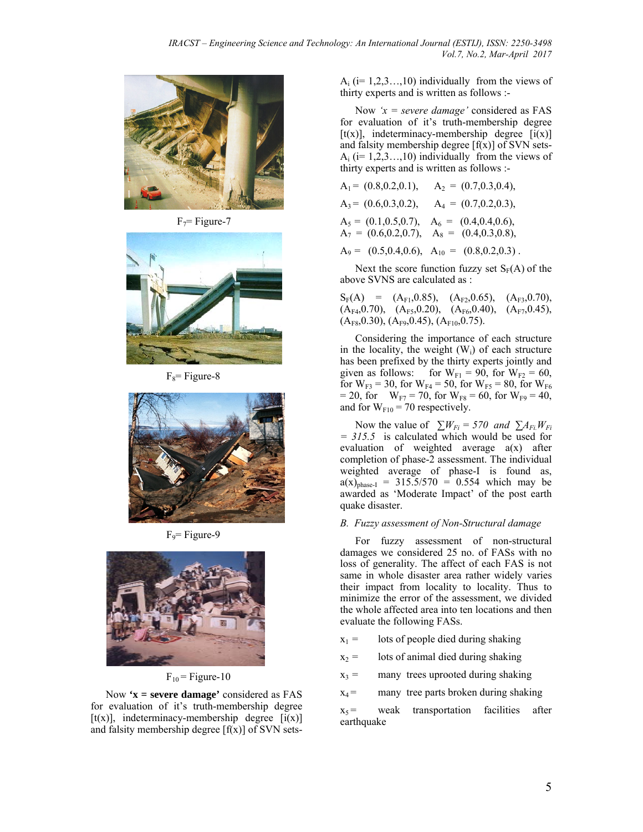

 $F_7$ = Figure-7



 $F_8$ = Figure-8



 $F<sub>9</sub>=$  Figure-9



 $F_{10}$  = Figure-10

Now **'x = severe damage'** considered as FAS for evaluation of it's truth-membership degree [t(x)], indeterminacy-membership degree  $[i(x)]$ and falsity membership degree  $[f(x)]$  of SVN sets $A_i$  (i= 1,2,3…,10) individually from the views of thirty experts and is written as follows :-

Now *'x = severe damage'* considered as FAS for evaluation of it's truth-membership degree [t(x)], indeterminacy-membership degree  $[i(x)]$ and falsity membership degree  $[f(x)]$  of SVN sets- $A_i$  (i= 1,2,3…,10) individually from the views of thirty experts and is written as follows :-

A1 = (0.8,0.2,0.1), A2 = (0.7,0.3,0.4), A3 = (0.6,0.3,0.2), A4 = (0.7,0.2,0.3), A5 = (0.1,0.5,0.7), A6 = (0.4,0.4,0.6), A7 = (0.6,0.2,0.7), A8 = (0.4,0.3,0.8), A9 = (0.5,0.4,0.6), A10 = (0.8,0.2,0.3) .

Next the score function fuzzy set  $S_F(A)$  of the above SVNS are calculated as :

 $S_F(A) = (A_{F1}, 0.85), (A_{F2}, 0.65), (A_{F3}, 0.70),$  $(A_{F4}, 0.70), (A_{F5}, 0.20), (A_{F6}, 0.40), (A_{F7}, 0.45),$  $(A_{F8}, 0.30), (A_{F9}, 0.45), (A_{F10}, 0.75).$ 

Considering the importance of each structure in the locality, the weight  $(W_i)$  of each structure has been prefixed by the thirty experts jointly and given as follows: for  $W_{F1} = 90$ , for  $W_{F2} = 60$ , for  $W_{F3} = 30$ , for  $W_{F4} = 50$ , for  $W_{F5} = 80$ , for  $W_{F6}$  $= 20$ , for  $W_{F7} = 70$ , for  $W_{F8} = 60$ , for  $W_{F9} = 40$ , and for  $W_{F10} = 70$  respectively.

Now the value of  $\sum W_{Fi} = 570$  and  $\sum A_{Fi} W_{Fi}$ *= 315.5* is calculated which would be used for evaluation of weighted average a(x) after completion of phase-2 assessment. The individual weighted average of phase-I is found as,  $a(x)_{phase-I}$  = 315.5/570 = 0.554 which may be awarded as 'Moderate Impact' of the post earth quake disaster.

#### *B. Fuzzy assessment of Non-Structural damage*

For fuzzy assessment of non-structural damages we considered 25 no. of FASs with no loss of generality. The affect of each FAS is not same in whole disaster area rather widely varies their impact from locality to locality. Thus to minimize the error of the assessment, we divided the whole affected area into ten locations and then evaluate the following FASs.

 $x_1 =$  lots of people died during shaking

 $x_2$  = lots of animal died during shaking

 $x_3$  = many trees uprooted during shaking

 $x_4$  = many tree parts broken during shaking

 $x_5$  = weak transportation facilities after earthquake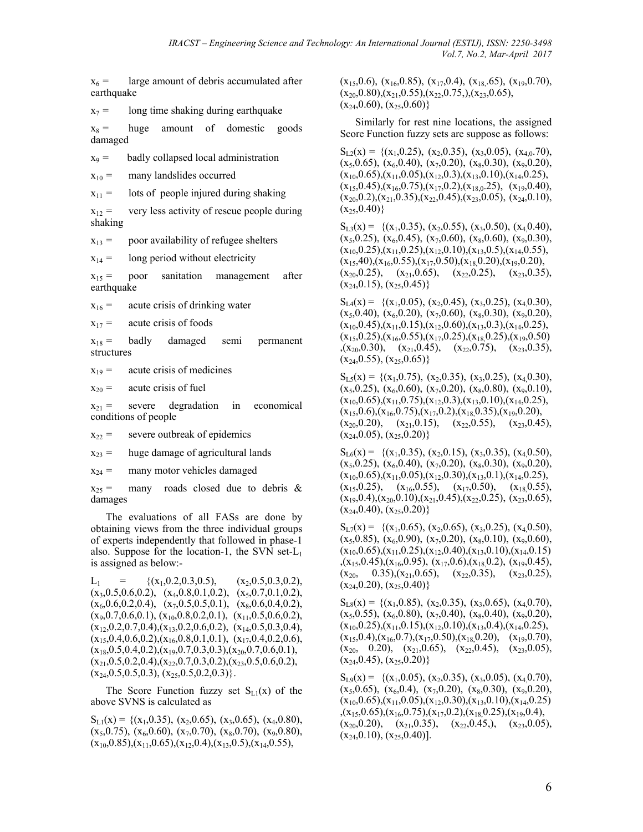$x_6$  = large amount of debris accumulated after earthquake

 $x_7$  = long time shaking during earthquake

 $x_8$  = huge amount of domestic goods damaged

 $x_9$  = badly collapsed local administration

 $x_{10}$  = many landslides occurred

 $x_{11}$  = lots of people injured during shaking

 $x_{12}$  = very less activity of rescue people during shaking

 $x_{13}$  = poor availability of refugee shelters

 $x_{14}$  = long period without electricity

 $x_{15}$  = poor sanitation management after earthquake

 $x_{16}$  = acute crisis of drinking water

 $x_{17}$  = acute crisis of foods

 $x_{18}$  = badly damaged semi permanent structures

 $x_{19}$  = acute crisis of medicines

 $x_{20}$  = acute crisis of fuel

 $x_{21}$  = severe degradation in economical conditions of people

 $x_{22}$  = severe outbreak of epidemics

 $x_{23}$  = huge damage of agricultural lands

 $x_{24}$  = many motor vehicles damaged

 $x_{25}$  = many roads closed due to debris & damages

The evaluations of all FASs are done by obtaining views from the three individual groups of experts independently that followed in phase-1 also. Suppose for the location-1, the SVN set- $L_1$ is assigned as below:-

 $L_1$  = {(x<sub>1</sub>,0.2,0.3,0.5), (x<sub>2</sub>,0.5,0.3,0.2),  $(x_3, 0.5, 0.6, 0.2), (x_4, 0.8, 0.1, 0.2), (x_5, 0.7, 0.1, 0.2),$  $(x_6, 0.6, 0.2, 0.4), (x_7, 0.5, 0.5, 0.1), (x_8, 0.6, 0.4, 0.2),$  $(x_9, 0.7, 0.6, 0.1), (x_{10}, 0.8, 0.2, 0.1), (x_{11}, 0.5, 0.6, 0.2),$  $(x_{12},0.2,0.7,0.4), (x_{13},0.2,0.6,0.2), (x_{14},0.5,0.3,0.4),$  $(x_{15},0.4,0.6,0.2),(x_{16},0.8,0.1,0.1),(x_{17},0.4,0.2,0.6),$  $(x_{18},0.5,0.4,0.2),(x_{19},0.7,0.3,0.3),(x_{20},0.7,0.6,0.1),$  $(x_{21},0.5,0.2,0.4),(x_{22},0.7,0.3,0.2),(x_{23},0.5,0.6,0.2),$  $(x_{24},0.5,0.5,0.3), (x_{25},0.5,0.2,0.3)\}.$ 

The Score Function fuzzy set  $S_{L1}(x)$  of the above SVNS is calculated as

 $S_{L1}(x) = \{(x_1, 0.35), (x_2, 0.65), (x_3, 0.65), (x_4, 0.80),$  $(x_5,0.75)$ ,  $(x_6,0.60)$ ,  $(x_7,0.70)$ ,  $(x_8,0.70)$ ,  $(x_9,0.80)$ ,  $(x_{10},0.85),(x_{11},0.65),(x_{12},0.4),(x_{13},0.5),(x_{14},0.55),$ 

 $(x_{15},0.6), (x_{16},0.85), (x_{17},0.4), (x_{18},65), (x_{19},0.70),$  $(x_{20},0.80),(x_{21},0.55),(x_{22},0.75),(x_{23},0.65),$  $(x_{24},0.60)$ ,  $(x_{25},0.60)$ }

Similarly for rest nine locations, the assigned Score Function fuzzy sets are suppose as follows:

 $S_{1,2}(x) = \{(x_1, 0.25), (x_2, 0.35), (x_3, 0.05), (x_4, 0.70),$  $(x_5,0.65)$ ,  $(x_6,0.40)$ ,  $(x_7,0.20)$ ,  $(x_8,0.30)$ ,  $(x_9,0.20)$ ,  $(x_{10},0.65),(x_{11},0.05),(x_{12},0.3),(x_{13},0.10),(x_{14},0.25),$  $(x_{15},0.45),(x_{16},0.75),(x_{17},0.2),(x_{18,0}.25),(x_{19},0.40),$  $(x_{20},0.2),(x_{21},0.35),(x_{22},0.45),(x_{23},0.05),(x_{24},0.10),$  $(x_{25},0.40)$ 

 $S_{1,3}(x) = \{(x_1, 0.35), (x_2, 0.55), (x_3, 0.50), (x_4, 0.40),$  $(x_5,0.25)$ ,  $(x_6,0.45)$ ,  $(x_7,0.60)$ ,  $(x_8,0.60)$ ,  $(x_9,0.30)$ ,  $(x_{10},0.25),(x_{11},0.25),(x_{12},0.10),(x_{13},0.5),(x_{14},0.55),$  $(x_{15},40),(x_{16},0.55),(x_{17},0.50),(x_{18},0.20),(x_{19},0.20),$ <br>  $(x_{20},0.25),(x_{21},0.65),(x_{22},0.25),(x_{23},0.35)$  $(x_{21},0.65), (x_{22},0.25), (x_{23},0.35),$  $(x_{24},0.15), (x_{25},0.45)$ 

 $S_{L_4}(x) = \{(x_1, 0.05), (x_2, 0.45), (x_3, 0.25), (x_4, 0.30),$  $(x_5,0.40)$ ,  $(x_6,0.20)$ ,  $(x_7,0.60)$ ,  $(x_8,0.30)$ ,  $(x_9,0.20)$ ,  $(x_{10},0.45),(x_{11},0.15),(x_{12},0.60),(x_{13},0.3),(x_{14},0.25),$  $(x_{15},0.25),(x_{16},0.55),(x_{17},0.25),(x_{18},0.25),(x_{19},0.50)$  $(x_{20},0.30), (x_{21},0.45), (x_{22},0.75), (x_{23},0.35),$  $(x_{24},0.55), (x_{25},0.65)$ 

 $S_{LS}(x) = \{(x_1, 0.75), (x_2, 0.35), (x_3, 0.25), (x_4, 0.30),$  $(x_5, 0.25)$ ,  $(x_6, 0.60)$ ,  $(x_7, 0.20)$ ,  $(x_8, 0.80)$ ,  $(x_9, 0.10)$ ,  $(x_{10},0.65),(x_{11},0.75),(x_{12},0.3),(x_{13},0.10),(x_{14},0.25),$  $(x_{15},0.6),(x_{16},0.75),(x_{17},0.2),(x_{18},0.35),(x_{19},0.20),$ <br>  $(x_{20},0.20), (x_{21},0.15), (x_{22},0.55), (x_{23},0.45)$  $(x_{21},0.15), (x_{22},0.55), (x_{23},0.45),$  $(x_{24},0.05)$ ,  $(x_{25},0.20)$ }

 $S_{1,6}(x) = \{(x_1, 0.35), (x_2, 0.15), (x_3, 0.35), (x_4, 0.50),$  $(x_5, 0.25), (x_6, 0.40), (x_7, 0.20), (x_8, 0.30), (x_9, 0.20),$  $(x_{10},0.65),(x_{11},0.05),(x_{12},0.30),(x_{13},0.1),(x_{14},0.25),$  $(x_{15},0.25), (x_{16},0.55), (x_{17},0.50), (x_{18},0.55),$  $(x_{19},0.4),(x_{20},0.10),(x_{21},0.45),(x_{22},0.25),(x_{23},0.65),$  $(x_{24},0.40), (x_{25},0.20)$ 

 $S_{1,7}(x) = \{(x_1, 0.65), (x_2, 0.65), (x_3, 0.25), (x_4, 0.50),$  $(x_5,0.85)$ ,  $(x_6,0.90)$ ,  $(x_7,0.20)$ ,  $(x_8,0.10)$ ,  $(x_9,0.60)$ ,  $(x_{10},0.65),(x_{11},0.25),(x_{12},0.40),(x_{13},0.10),(x_{14},0.15)$  $(x_{15},0.45),(x_{16},0.95),(x_{17},0.6),(x_{18},0.2),(x_{19},0.45),$  $(x_{20}, \quad 0.35), (x_{21}, 0.65), \quad (x_{22}, 0.35), \quad (x_{23}, 0.25),$  $(x_{24},0.20), (x_{25},0.40)$ 

 $S_{LS}(x) = \{(x_1, 0.85), (x_2, 0.35), (x_3, 0.65), (x_4, 0.70),$  $(x_5, 0.55)$ ,  $(x_6, 0.80)$ ,  $(x_7, 0.40)$ ,  $(x_8, 0.40)$ ,  $(x_9, 0.20)$ ,  $(x_{10},0.25),(x_{11},0.15),(x_{12},0.10),(x_{13},0.4),(x_{14},0.25),$  $(x_{15},0.4),(x_{16},0.7),(x_{17},0.50),(x_{18},0.20), (x_{19},0.70),$  $(x_{20}, 0.20), (x_{21},0.65), (x_{22},0.45), (x_{23},0.05),$  $(x_{24},0.45), (x_{25},0.20)$ 

 $S_{L9}(x) = \{(x_1, 0.05), (x_2, 0.35), (x_3, 0.05), (x_4, 0.70),$  $(x_5,0.65)$ ,  $(x_6,0.4)$ ,  $(x_7,0.20)$ ,  $(x_8,0.30)$ ,  $(x_9,0.20)$ ,  $(x_{10},0.65),(x_{11},0.05),(x_{12},0.30),(x_{13},0.10),(x_{14},0.25)$  $(x_{15},0.65),(x_{16},0.75),(x_{17},0.2),(x_{18},0.25),(x_{19},0.4),$  $(x_{20},0.20), (x_{21},0.35), (x_{22},0.45), (x_{23},0.05),$  $(x_{24},0.10), (x_{25},0.40)$ ].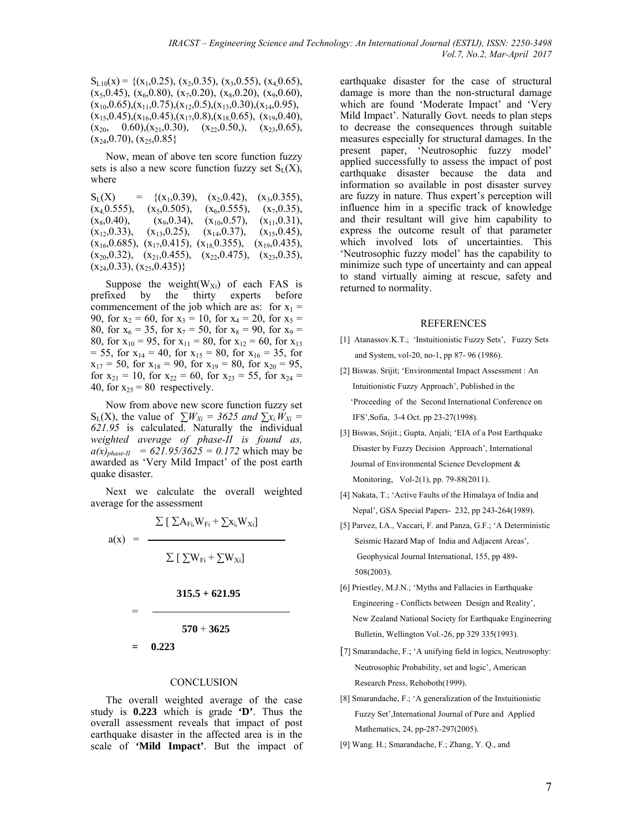$S_{L10}(x) = \{(x_1, 0.25), (x_2, 0.35), (x_3, 0.55), (x_4, 0.65),$  $(x_5,0.45)$ ,  $(x_6,0.80)$ ,  $(x_7,0.20)$ ,  $(x_8,0.20)$ ,  $(x_9,0.60)$ ,  $(x_{10},0.65),(x_{11},0.75),(x_{12},0.5),(x_{13},0.30),(x_{14},0.95),$  $(x_{15},0.45),(x_{16},0.45),(x_{17},0.8),(x_{18},0.65),(x_{19},0.40),$  $(x_{20}, 0.60), (x_{21}, 0.30), (x_{22}, 0.50), (x_{23}, 0.65),$  $(x_{24},0.70), (x_{25},0.85)$ 

Now, mean of above ten score function fuzzy sets is also a new score function fuzzy set  $S_L(X)$ , where

 $S_L(X) = \{(x_1, 0.39), (x_2, 0.42), (x_3, 0.355), (x_4, 0.555), (x_5, 0.505), (x_6, 0.555), (x_7, 0.35),$  $(x_4,0.555)$ ,  $(x_5,0.505)$ ,  $(x_6,0.555)$ ,  $(x_7,0.35)$ ,<br> $(x_8,0.40)$ ,  $(x_9,0.34)$ ,  $(x_{10},0.57)$ ,  $(x_{11},0.31)$ ,  $(x_8,0.40),$   $(x_9,0.34), (x_{10},0.57),$  $(x_{12},0.33)$ ,  $(x_{13},0.25)$ ,  $(x_{14},0.37)$ ,  $(x_{15},0.45)$ ,  $(x_{16},0.685)$ ,  $(x_{17},0.415)$ ,  $(x_{18},0.355)$ ,  $(x_{19},0.435)$ ,  $(x_{16},0.685), (x_{17},0.415), (x_{18},0.355),$  $(x_{20},0.32)$ ,  $(x_{21},0.455)$ ,  $(x_{22},0.475)$ ,  $(x_{23},0.35)$ ,  $(x_{24},0.33), (x_{25},0.435)$ 

Suppose the weight( $W_{Xi}$ ) of each FAS is fixed by the thirty experts before prefixed by the thirty commencement of the job which are as: for  $x_1$  = 90, for  $x_2 = 60$ , for  $x_3 = 10$ , for  $x_4 = 20$ , for  $x_5 =$ 80, for  $x_6 = 35$ , for  $x_7 = 50$ , for  $x_8 = 90$ , for  $x_9 =$ 80, for  $x_{10} = 95$ , for  $x_{11} = 80$ , for  $x_{12} = 60$ , for  $x_{13}$  $= 55$ , for  $x_{14} = 40$ , for  $x_{15} = 80$ , for  $x_{16} = 35$ , for  $x_{17} = 50$ , for  $x_{18} = 90$ , for  $x_{19} = 80$ , for  $x_{20} = 95$ , for  $x_{21} = 10$ , for  $x_{22} = 60$ , for  $x_{23} = 55$ , for  $x_{24} =$ 40, for  $x_{25} = 80$  respectively.

Now from above new score function fuzzy set  $S_L(X)$ , the value of  $\sum W_{Xi} = 3625$  and  $\sum x_i W_{Xi} =$ *621.95* is calculated. Naturally the individual *weighted average of phase-II is found as,*   $a(x)_{phase-II} = 621.95/3625 = 0.172$  which may be awarded as 'Very Mild Impact' of the post earth quake disaster.

Next we calculate the overall weighted average for the assessment

$$
a(x) = \frac{\sum [\sum A_{Fi} W_{Fi} + \sum x_i W_{Xi}]}{\sum [\sum W_{Fi} + \sum W_{Xi}]}
$$
  
= 
$$
\frac{315.5 + 621.95}{570 + 3625}
$$
  
= 0.223

#### **CONCLUSION**

The overall weighted average of the case study is **0.223** which is grade **'D'**. Thus the overall assessment reveals that impact of post earthquake disaster in the affected area is in the scale of **'Mild Impact'**. But the impact of

earthquake disaster for the case of structural damage is more than the non-structural damage which are found 'Moderate Impact' and 'Very Mild Impact'. Naturally Govt. needs to plan steps to decrease the consequences through suitable measures especially for structural damages. In the present paper, 'Neutrosophic fuzzy model' applied successfully to assess the impact of post earthquake disaster because the data and information so available in post disaster survey are fuzzy in nature. Thus expert's perception will influence him in a specific track of knowledge and their resultant will give him capability to express the outcome result of that parameter which involved lots of uncertainties. This 'Neutrosophic fuzzy model' has the capability to minimize such type of uncertainty and can appeal to stand virtually aiming at rescue, safety and returned to normality.

#### REFERENCES

- [1] Atanassov.K.T.; 'Instuitionistic Fuzzy Sets', Fuzzy Sets and System, vol-20, no-1, pp 87- 96 (1986).
- [2] Biswas. Srijit; 'Environmental Impact Assessment : An Intuitionistic Fuzzy Approach', Published in the 'Proceeding of the Second International Conference on IFS',Sofia, 3-4 Oct. pp 23-27(1998).
- [3] Biswas, Srijit.; Gupta, Anjali; 'EIA of a Post Earthquake Disaster by Fuzzy Decision Approach', International Journal of Environmental Science Development & Monitoring, Vol-2(1), pp. 79-88(2011).
- [4] Nakata, T.; 'Active Faults of the Himalaya of India and Nepal', GSA Special Papers- 232, pp 243-264(1989).
- [5] Parvez, I.A., Vaccari, F. and Panza, G.F.; 'A Deterministic Seismic Hazard Map of India and Adjacent Areas', Geophysical Journal International, 155, pp 489- 508(2003).
- [6] Priestley, M.J.N.; 'Myths and Fallacies in Earthquake Engineering - Conflicts between Design and Reality', New Zealand National Society for Earthquake Engineering Bulletin, Wellington Vol.-26, pp 329 335(1993).
- [7] Smarandache, F.; 'A unifying field in logics, Neutrosophy: Neutrosophic Probability, set and logic', American Research Press, Rehoboth(1999).
- [8] Smarandache, F.; 'A generalization of the Instuitionistic Fuzzy Set',International Journal of Pure and Applied Mathematics, 24, pp-287-297(2005).
- [9] Wang. H.; Smarandache, F.; Zhang, Y. Q., and